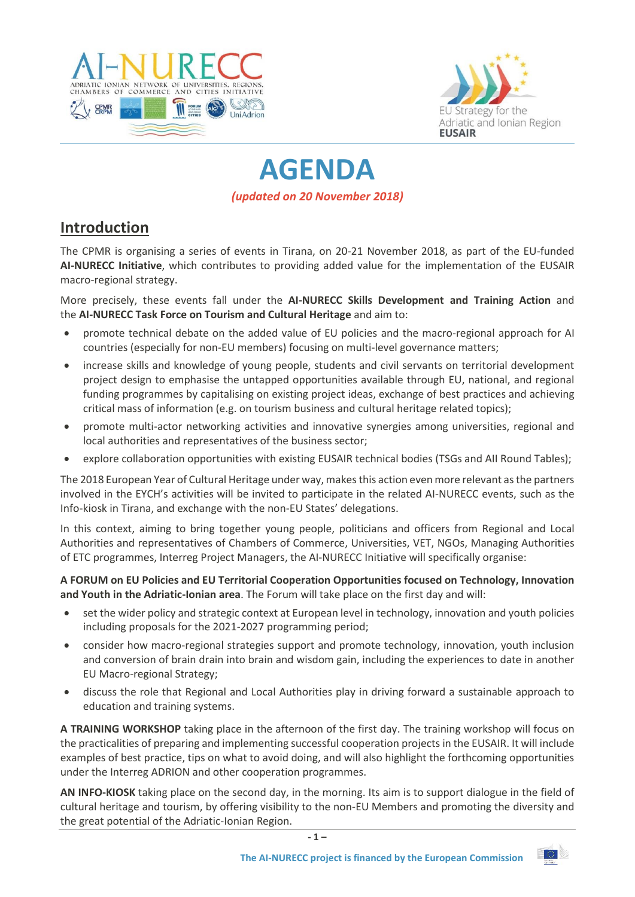



# **AGENDA** *(updated on 20 November 2018)*

## **Introduction**

The CPMR is organising a series of events in Tirana, on 20-21 November 2018, as part of the EU-funded **AI-NURECC Initiative**, which contributes to providing added value for the implementation of the EUSAIR macro-regional strategy.

More precisely, these events fall under the **AI-NURECC Skills Development and Training Action** and the **AI-NURECC Task Force on Tourism and Cultural Heritage** and aim to:

- promote technical debate on the added value of EU policies and the macro-regional approach for AI countries (especially for non-EU members) focusing on multi-level governance matters;
- increase skills and knowledge of young people, students and civil servants on territorial development project design to emphasise the untapped opportunities available through EU, national, and regional funding programmes by capitalising on existing project ideas, exchange of best practices and achieving critical mass of information (e.g. on tourism business and cultural heritage related topics);
- promote multi-actor networking activities and innovative synergies among universities, regional and local authorities and representatives of the business sector;
- explore collaboration opportunities with existing EUSAIR technical bodies (TSGs and AII Round Tables);

The 2018 European Year of Cultural Heritage under way, makes this action even more relevant as the partners involved in the EYCH's activities will be invited to participate in the related AI-NURECC events, such as the Info-kiosk in Tirana, and exchange with the non-EU States' delegations.

In this context, aiming to bring together young people, politicians and officers from Regional and Local Authorities and representatives of Chambers of Commerce, Universities, VET, NGOs, Managing Authorities of ETC programmes, Interreg Project Managers, the AI-NURECC Initiative will specifically organise:

**A FORUM on EU Policies and EU Territorial Cooperation Opportunities focused on Technology, Innovation and Youth in the Adriatic-Ionian area**. The Forum will take place on the first day and will:

- set the wider policy and strategic context at European level in technology, innovation and youth policies including proposals for the 2021-2027 programming period;
- consider how macro-regional strategies support and promote technology, innovation, youth inclusion and conversion of brain drain into brain and wisdom gain, including the experiences to date in another EU Macro-regional Strategy;
- discuss the role that Regional and Local Authorities play in driving forward a sustainable approach to education and training systems.

**A TRAINING WORKSHOP** taking place in the afternoon of the first day. The training workshop will focus on the practicalities of preparing and implementing successful cooperation projects in the EUSAIR. It will include examples of best practice, tips on what to avoid doing, and will also highlight the forthcoming opportunities under the Interreg ADRION and other cooperation programmes.

**AN INFO-KIOSK** taking place on the second day, in the morning. Its aim is to support dialogue in the field of cultural heritage and tourism, by offering visibility to the non-EU Members and promoting the diversity and the great potential of the Adriatic-Ionian Region.

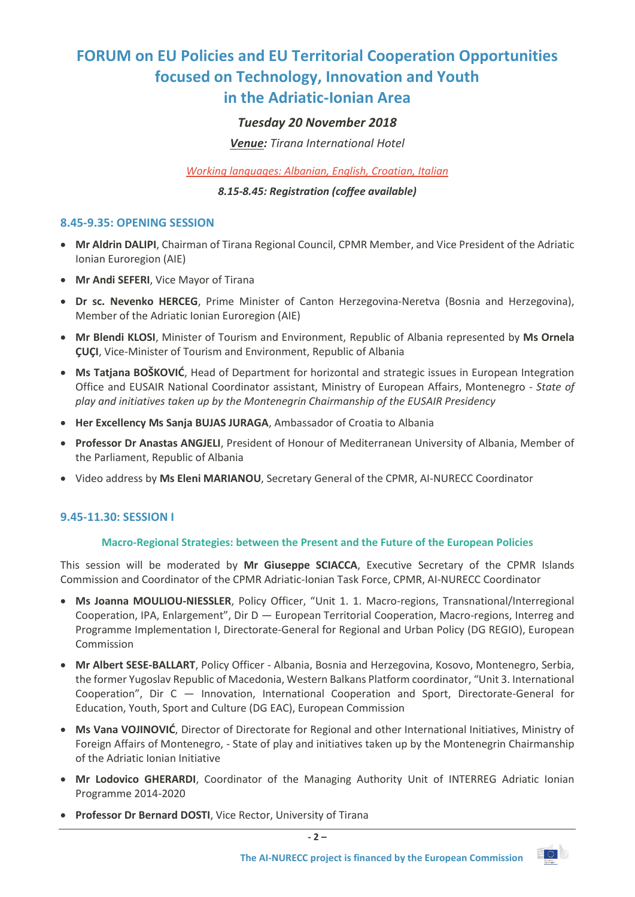# **FORUM on EU Policies and EU Territorial Cooperation Opportunities focused on Technology, Innovation and Youth in the Adriatic-Ionian Area**

## *Tuesday 20 November 2018*

*Venue: Tirana International Hotel*

*Working languages: Albanian, English, Croatian, Italian*

### *8.15-8.45: Registration (coffee available)*

### **8.45-9.35: OPENING SESSION**

- **Mr Aldrin DALIPI**, Chairman of Tirana Regional Council, CPMR Member, and Vice President of the Adriatic Ionian Euroregion (AIE)
- **Mr Andi SEFERI**, Vice Mayor of Tirana
- **Dr sc. Nevenko HERCEG**, Prime Minister of Canton Herzegovina-Neretva (Bosnia and Herzegovina), Member of the Adriatic Ionian Euroregion (AIE)
- **Mr Blendi KLOSI**, Minister of Tourism and Environment, Republic of Albania represented by **Ms Ornela ÇUÇI**, Vice-Minister of Tourism and Environment, Republic of Albania
- **Ms Tatjana BOŠKOVIĆ**, Head of Department for horizontal and strategic issues in European Integration Office and EUSAIR National Coordinator assistant, Ministry of European Affairs, Montenegro - *State of play and initiatives taken up by the Montenegrin Chairmanship of the EUSAIR Presidency*
- **Her Excellency Ms Sanja BUJAS JURAGA**, Ambassador of Croatia to Albania
- **Professor Dr Anastas ANGJELI**, President of Honour of Mediterranean University of Albania, Member of the Parliament, Republic of Albania
- Video address by **Ms Eleni MARIANOU**, Secretary General of the CPMR, AI-NURECC Coordinator

## **9.45-11.30: SESSION I**

#### **Macro-Regional Strategies: between the Present and the Future of the European Policies**

This session will be moderated by **Mr Giuseppe SCIACCA**, Executive Secretary of the CPMR Islands Commission and Coordinator of the CPMR Adriatic-Ionian Task Force, CPMR, AI-NURECC Coordinator

- **Ms Joanna MOULIOU-NIESSLER**, Policy Officer, "Unit 1. 1. Macro-regions, Transnational/Interregional Cooperation, IPA, Enlargement", Dir D — European Territorial Cooperation, Macro-regions, Interreg and Programme Implementation I, Directorate-General for Regional and Urban Policy (DG REGIO), European Commission
- **Mr Albert SESE-BALLART**, Policy Officer Albania, Bosnia and Herzegovina, Kosovo, Montenegro, Serbia, the former Yugoslav Republic of Macedonia, Western Balkans Platform coordinator, "Unit 3. International Cooperation", Dir C — Innovation, International Cooperation and Sport, Directorate-General for Education, Youth, Sport and Culture (DG EAC), European Commission
- **Ms Vana VOJINOVIĆ**, Director of Directorate for Regional and other International Initiatives, Ministry of Foreign Affairs of Montenegro, - State of play and initiatives taken up by the Montenegrin Chairmanship of the Adriatic Ionian Initiative
- **Mr Lodovico GHERARDI**, Coordinator of the Managing Authority Unit of INTERREG Adriatic Ionian Programme 2014-2020
- **Professor Dr Bernard DOSTI**, Vice Rector, University of Tirana

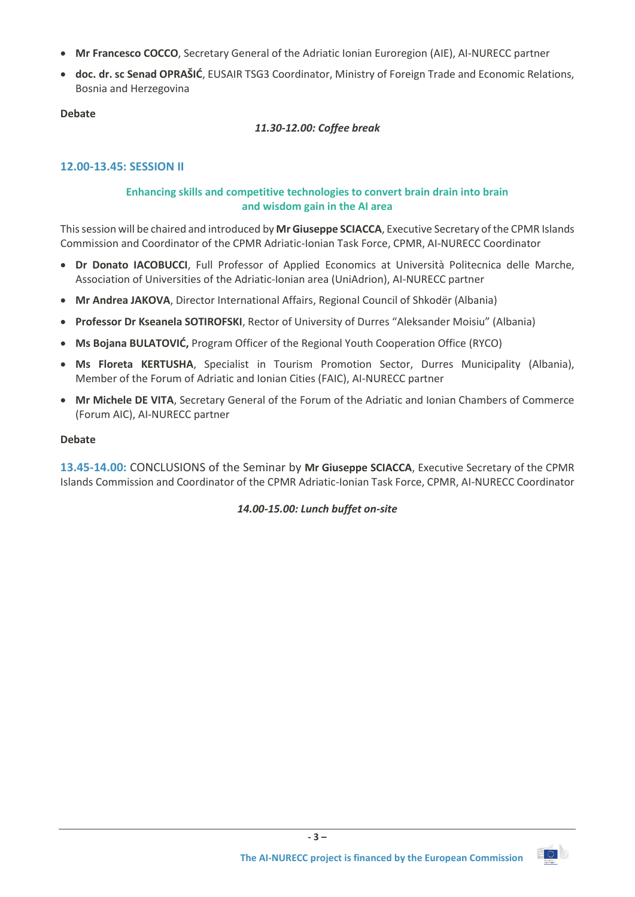- **Mr Francesco COCCO**, Secretary General of the Adriatic Ionian Euroregion (AIE), AI-NURECC partner
- **doc. dr. sc Senad OPRAŠIĆ**, EUSAIR TSG3 Coordinator, Ministry of Foreign Trade and Economic Relations, Bosnia and Herzegovina

## **Debate**

## *11.30-12.00: Coffee break*

## **12.00-13.45: SESSION II**

## **Enhancing skills and competitive technologies to convert brain drain into brain and wisdom gain in the AI area**

This session will be chaired and introduced by **Mr Giuseppe SCIACCA**, Executive Secretary of the CPMR Islands Commission and Coordinator of the CPMR Adriatic-Ionian Task Force, CPMR, AI-NURECC Coordinator

- **Dr Donato IACOBUCCI**, Full Professor of Applied Economics at Università Politecnica delle Marche, Association of Universities of the Adriatic-Ionian area (UniAdrion), AI-NURECC partner
- **Mr Andrea JAKOVA**, Director International Affairs, Regional Council of Shkodër (Albania)
- **Professor Dr Kseanela SOTIROFSKI**, Rector of University of Durres "Aleksander Moisiu" (Albania)
- **Ms Bojana BULATOVIĆ,** Program Officer of the Regional Youth Cooperation Office (RYCO)
- **Ms Floreta KERTUSHA**, Specialist in Tourism Promotion Sector, Durres Municipality (Albania), Member of the Forum of Adriatic and Ionian Cities (FAIC), AI-NURECC partner
- **Mr Michele DE VITA**, Secretary General of the Forum of the Adriatic and Ionian Chambers of Commerce (Forum AIC), AI-NURECC partner

#### **Debate**

**13.45-14.00:** CONCLUSIONS of the Seminar by **Mr Giuseppe SCIACCA**, Executive Secretary of the CPMR Islands Commission and Coordinator of the CPMR Adriatic-Ionian Task Force, CPMR, AI-NURECC Coordinator

## *14.00-15.00: Lunch buffet on-site*

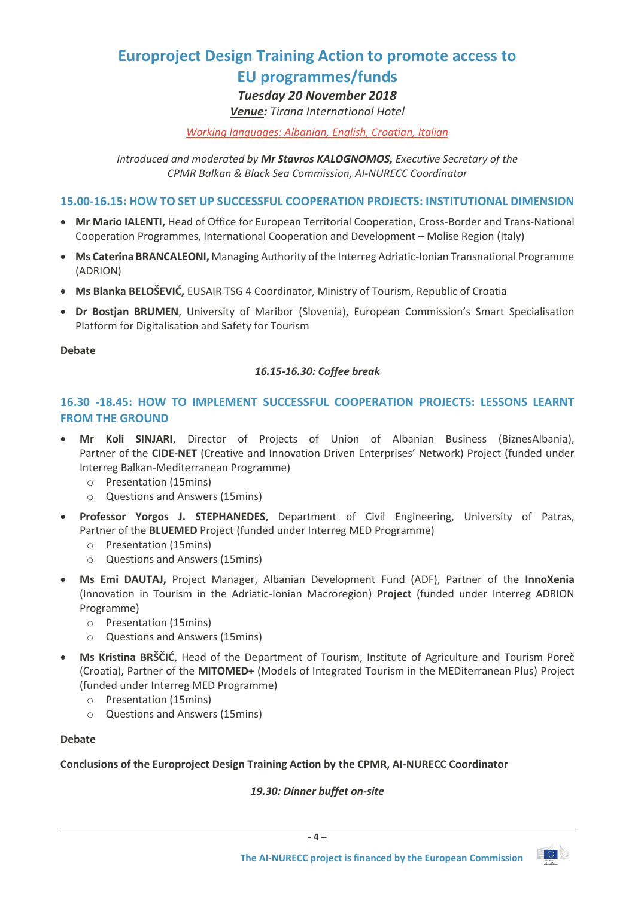# **Europroject Design Training Action to promote access to**

## **EU programmes/funds**

## *Tuesday 20 November 2018*

## *Venue: Tirana International Hotel*

### *Working languages: Albanian, English, Croatian, Italian*

*Introduced and moderated by Mr Stavros KALOGNOMOS, Executive Secretary of the CPMR Balkan & Black Sea Commission, AI-NURECC Coordinator*

### **15.00-16.15: HOW TO SET UP SUCCESSFUL COOPERATION PROJECTS: INSTITUTIONAL DIMENSION**

- **Mr Mario IALENTI,** Head of Office for European Territorial Cooperation, Cross-Border and Trans-National Cooperation Programmes, International Cooperation and Development – Molise Region (Italy)
- **Ms Caterina BRANCALEONI,** Managing Authority of the Interreg Adriatic-Ionian Transnational Programme (ADRION)
- **Ms Blanka BELOŠEVIĆ,** EUSAIR TSG 4 Coordinator, Ministry of Tourism, Republic of Croatia
- **Dr Bostjan BRUMEN**, University of Maribor (Slovenia), European Commission's Smart Specialisation Platform for Digitalisation and Safety for Tourism

### **Debate**

## *16.15-16.30: Coffee break*

## **16.30 -18.45: HOW TO IMPLEMENT SUCCESSFUL COOPERATION PROJECTS: LESSONS LEARNT FROM THE GROUND**

- **Mr Koli SINJARI**, Director of Projects of Union of Albanian Business (BiznesAlbania), Partner of the **[CIDE-NET](http://www.interreg-balkanmed.eu/approved-project/38/)** (Creative and Innovation Driven Enterprises' Network) Project (funded under Interreg Balkan-Mediterranean Programme)
	- o Presentation (15mins)
	- o Questions and Answers (15mins)
- **Professor Yorgos J. STEPHANEDES**, Department of Civil Engineering, University of Patras, Partner of the **BLUEMED** Project (funded under Interreg MED Programme)
	- o Presentation (15mins)
	- o Questions and Answers (15mins)
- **Ms Emi DAUTAJ,** Project Manager, Albanian Development Fund (ADF), Partner of the **InnoXenia**  (Innovation in Tourism in the Adriatic-Ionian Macroregion) **Project** (funded under Interreg ADRION Programme)
	- o Presentation (15mins)
	- o Questions and Answers (15mins)
- **Ms Kristina BRŠČIĆ**, Head of the Department of Tourism, Institute of Agriculture and Tourism Poreč (Croatia), Partner of the **MITOMED+** (Models of Integrated Tourism in the MEDiterranean Plus) Project (funded under Interreg MED Programme)
	- o Presentation (15mins)
	- o Questions and Answers (15mins)

#### **Debate**

## **Conclusions of the Europroject Design Training Action by the CPMR, AI-NURECC Coordinator**

## *19.30: Dinner buffet on-site*